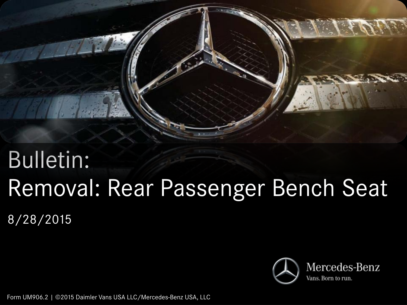

# Bulletin: Removal: Rear Passenger Bench Seat 8/28/2015



Form UM906.2 | ©2015 Daimler Vans USA LLC/Mercedes-Benz USA, LLC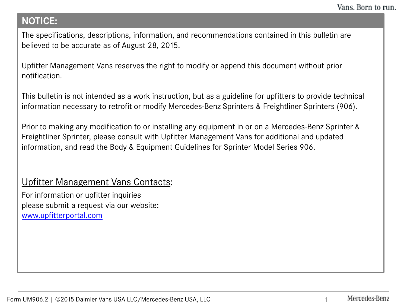## **NOTICE:**

The specifications, descriptions, information, and recommendations contained in this bulletin are believed to be accurate as of August 28, 2015.

Upfitter Management Vans reserves the right to modify or append this document without prior notification.

This bulletin is not intended as a work instruction, but as a guideline for upfitters to provide technical information necessary to retrofit or modify Mercedes-Benz Sprinters & Freightliner Sprinters (906).

Prior to making any modification to or installing any equipment in or on a Mercedes-Benz Sprinter & Freightliner Sprinter, please consult with Upfitter Management Vans for additional and updated information, and read the Body & Equipment Guidelines for Sprinter Model Series 906.

## Upfitter Management Vans Contacts:

For information or upfitter inquiries please submit a request via our website: [www.upfitterportal.com](http://www.upfitterportalcom/)